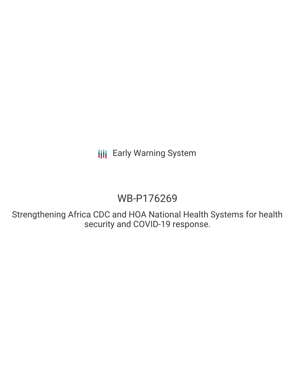**III** Early Warning System

# WB-P176269

Strengthening Africa CDC and HOA National Health Systems for health security and COVID-19 response.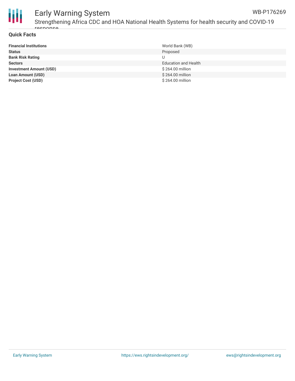

#### Early Warning System Strengthening Africa CDC and HOA National Health Systems for health security and COVID-19 WB-P176269

### **Quick Facts**

reconce

| <b>Financial Institutions</b>  | World Bank (WB)             |
|--------------------------------|-----------------------------|
| <b>Status</b>                  | Proposed                    |
| <b>Bank Risk Rating</b>        | U                           |
| <b>Sectors</b>                 | <b>Education and Health</b> |
| <b>Investment Amount (USD)</b> | \$264.00 million            |
| <b>Loan Amount (USD)</b>       | \$264.00 million            |
| <b>Project Cost (USD)</b>      | \$264.00 million            |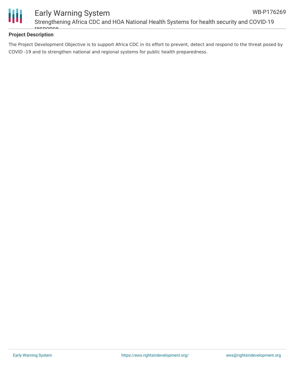

# **Project Description**

The Project Development Objective is to support Africa CDC in its effort to prevent, detect and respond to the threat posed by COVID -19 and to strengthen national and regional systems for public health preparedness.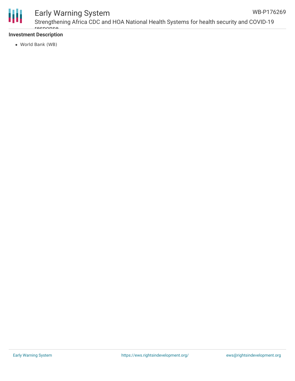

# Early Warning System

Strengthening Africa CDC and HOA National Health Systems for health security and COVID-19 rosponse WB-P176269

# **Investment Description**

World Bank (WB)